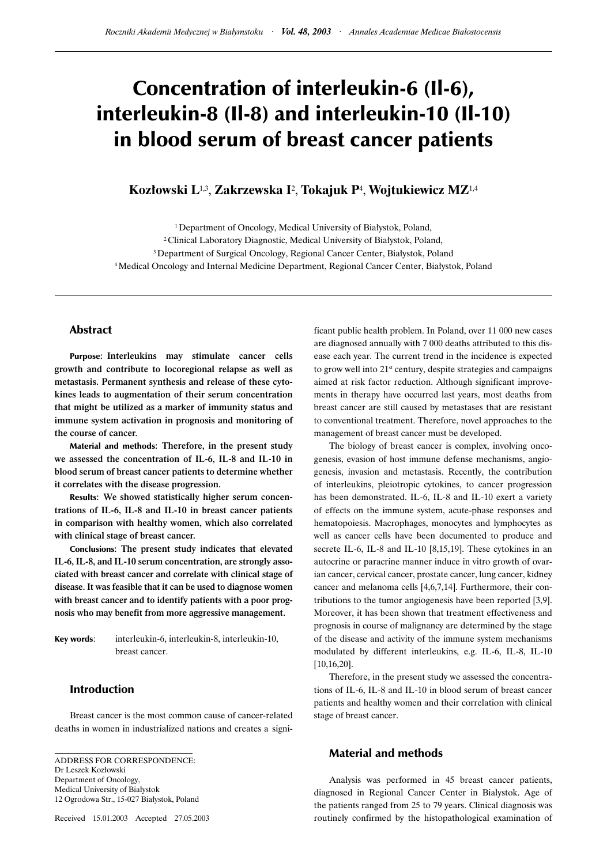# Concentration of interleukin-6 (Il-6), interleukin-8 (Il-8) and interleukin-10 (Il-10) in blood serum of breast cancer patients

# **Kozłowski L**1,3, **Zakrzewska I**<sup>2</sup> , **Tokajuk P**<sup>4</sup> , **Wojtukiewicz MZ**1,4

<sup>1</sup> Department of Oncology, Medical University of Białystok, Poland, 2 Clinical Laboratory Diagnostic, Medical University of Białystok, Poland, 3 Department of Surgical Oncology, Regional Cancer Center, Białystok, Poland 4 Medical Oncology and Internal Medicine Department, Regional Cancer Center, Białystok, Poland

# Abstract

Purpose: Interleukins may stimulate cancer cells growth and contribute to locoregional relapse as well as metastasis. Permanent synthesis and release of these cytokines leads to augmentation of their serum concentration that might be utilized as a marker of immunity status and immune system activation in prognosis and monitoring of the course of cancer.

Material and methods: Therefore, in the present study we assessed the concentration of IL-6, IL-8 and IL-10 in blood serum of breast cancer patients to determine whether it correlates with the disease progression.

Results: We showed statistically higher serum concentrations of IL-6, IL-8 and IL-10 in breast cancer patients in comparison with healthy women, which also correlated with clinical stage of breast cancer.

Conclusions: The present study indicates that elevated IL-6, IL-8, and IL-10 serum concentration, are strongly associated with breast cancer and correlate with clinical stage of disease. It was feasible that it can be used to diagnose women with breast cancer and to identify patients with a poor prognosis who may benefit from more aggressive management.

Key words: interleukin-6, interleukin-8, interleukin-10, breast cancer.

# Introduction

Breast cancer is the most common cause of cancer-related deaths in women in industrialized nations and creates a signi-

ADDRESS FOR CORRESPONDENCE: Dr Leszek Kozłowski Department of Oncology, Medical University of Białystok 12 Ogrodowa Str., 15-027 Białystok, Poland

Received 15.01.2003 Accepted 27.05.2003

ficant public health problem. In Poland, over 11 000 new cases are diagnosed annually with 7 000 deaths attributed to this disease each year. The current trend in the incidence is expected to grow well into 21st century, despite strategies and campaigns aimed at risk factor reduction. Although significant improvements in therapy have occurred last years, most deaths from breast cancer are still caused by metastases that are resistant to conventional treatment. Therefore, novel approaches to the management of breast cancer must be developed.

The biology of breast cancer is complex, involving oncogenesis, evasion of host immune defense mechanisms, angiogenesis, invasion and metastasis. Recently, the contribution of interleukins, pleiotropic cytokines, to cancer progression has been demonstrated. IL-6, IL-8 and IL-10 exert a variety of effects on the immune system, acute-phase responses and hematopoiesis. Macrophages, monocytes and lymphocytes as well as cancer cells have been documented to produce and secrete IL-6, IL-8 and IL-10 [8,15,19]. These cytokines in an autocrine or paracrine manner induce in vitro growth of ovarian cancer, cervical cancer, prostate cancer, lung cancer, kidney cancer and melanoma cells [4,6,7,14]. Furthermore, their contributions to the tumor angiogenesis have been reported [3,9]. Moreover, it has been shown that treatment effectiveness and prognosis in course of malignancy are determined by the stage of the disease and activity of the immune system mechanisms modulated by different interleukins, e.g. IL-6, IL-8, IL-10 [10,16,20].

Therefore, in the present study we assessed the concentrations of IL-6, IL-8 and IL-10 in blood serum of breast cancer patients and healthy women and their correlation with clinical stage of breast cancer.

### Material and methods

Analysis was performed in 45 breast cancer patients, diagnosed in Regional Cancer Center in Bialystok. Age of the patients ranged from 25 to 79 years. Clinical diagnosis was routinely confirmed by the histopathological examination of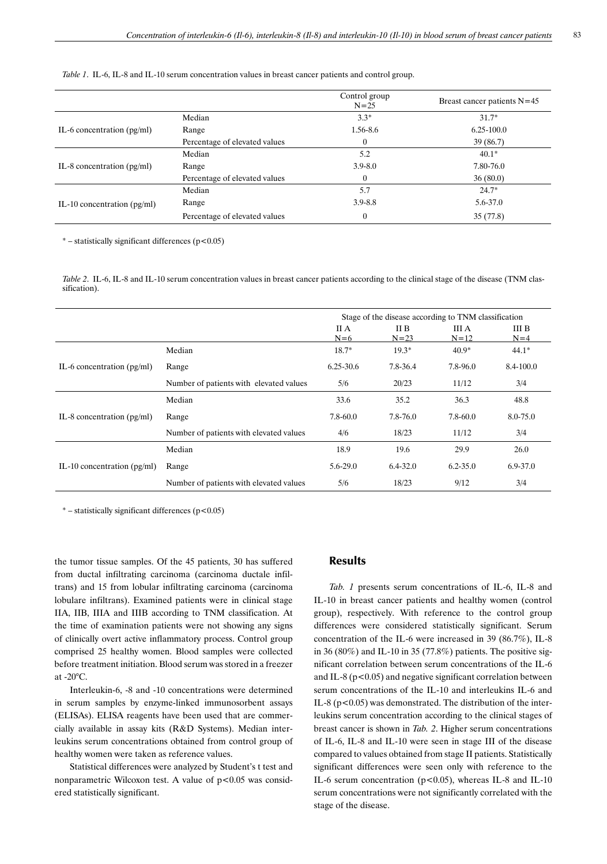| Table 1. IL-6, IL-8 and IL-10 serum concentration values in breast cancer patients and control group. |  |  |
|-------------------------------------------------------------------------------------------------------|--|--|
|-------------------------------------------------------------------------------------------------------|--|--|

|                               |                               | Control group<br>$N = 25$ | Breast cancer patients $N=45$ |
|-------------------------------|-------------------------------|---------------------------|-------------------------------|
| IL-6 concentration $(pg/ml)$  | Median                        | $3.3*$                    | $31.7*$                       |
|                               | Range                         | 1.56-8.6                  | $6.25 - 100.0$                |
|                               | Percentage of elevated values | $\mathbf{0}$              | 39(86.7)                      |
| IL-8 concentration $(pg/ml)$  | Median                        | 5.2                       | $40.1*$                       |
|                               | Range                         | $3.9 - 8.0$               | 7.80-76.0                     |
|                               | Percentage of elevated values | $\mathbf{0}$              | 36(80.0)                      |
| IL-10 concentration $(pg/ml)$ | Median                        | 5.7                       | $24.7*$                       |
|                               | Range                         | $3.9 - 8.8$               | 5.6-37.0                      |
|                               | Percentage of elevated values | $\mathbf{0}$              | 35(77.8)                      |

 $*$  – statistically significant differences ( $p < 0.05$ )

*Table 2*. IL-6, IL-8 and IL-10 serum concentration values in breast cancer patients according to the clinical stage of the disease (TNM classification).

|                               |                                         | Stage of the disease according to TNM classification |                  |                   |                |
|-------------------------------|-----------------------------------------|------------------------------------------------------|------------------|-------------------|----------------|
|                               |                                         | II A<br>$N=6$                                        | II B<br>$N = 23$ | III A<br>$N = 12$ | III B<br>$N=4$ |
| IL-6 concentration $(pg/ml)$  | Median                                  | $18.7*$                                              | $19.3*$          | $40.9*$           | $44.1*$        |
|                               | Range                                   | $6.25 - 30.6$                                        | 7.8-36.4         | 7.8-96.0          | 8.4-100.0      |
|                               | Number of patients with elevated values | 5/6                                                  | 20/23            | 11/12             | 3/4            |
| IL-8 concentration $(pg/ml)$  | Median                                  | 33.6                                                 | 35.2             | 36.3              | 48.8           |
|                               | Range                                   | 7.8-60.0                                             | $7.8 - 76.0$     | $7.8 - 60.0$      | 8.0-75.0       |
|                               | Number of patients with elevated values | 4/6                                                  | 18/23            | 11/12             | 3/4            |
| IL-10 concentration $(pg/ml)$ | Median                                  | 18.9                                                 | 19.6             | 29.9              | 26.0           |
|                               | Range                                   | $5.6 - 29.0$                                         | $6.4 - 32.0$     | $6.2 - 35.0$      | $6.9 - 37.0$   |
|                               | Number of patients with elevated values | 5/6                                                  | 18/23            | 9/12              | 3/4            |

\* – statistically significant differences (p<0.05)

the tumor tissue samples. Of the 45 patients, 30 has suffered from ductal infiltrating carcinoma (carcinoma ductale infiltrans) and 15 from lobular infiltrating carcinoma (carcinoma lobulare infiltrans). Examined patients were in clinical stage IIA, IIB, IIIA and IIIB according to TNM classification. At the time of examination patients were not showing any signs of clinically overt active inflammatory process. Control group comprised 25 healthy women. Blood samples were collected before treatment initiation. Blood serum was stored in a freezer at -20°C.

Interleukin-6, -8 and -10 concentrations were determined in serum samples by enzyme-linked immunosorbent assays (ELISAs). ELISA reagents have been used that are commercially available in assay kits (R&D Systems). Median interleukins serum concentrations obtained from control group of healthy women were taken as reference values.

Statistical differences were analyzed by Student's t test and nonparametric Wilcoxon test. A value of  $p<0.05$  was considered statistically significant.

# Results

*Tab. 1* presents serum concentrations of IL-6, IL-8 and IL-10 in breast cancer patients and healthy women (control group), respectively. With reference to the control group differences were considered statistically significant. Serum concentration of the IL-6 were increased in 39 (86.7%), IL-8 in 36 (80%) and IL-10 in 35 (77.8%) patients. The positive significant correlation between serum concentrations of the IL-6 and IL-8 ( $p$ <0.05) and negative significant correlation between serum concentrations of the IL-10 and interleukins IL-6 and IL-8 ( $p$ <0.05) was demonstrated. The distribution of the interleukins serum concentration according to the clinical stages of breast cancer is shown in *Tab. 2*. Higher serum concentrations of IL-6, IL-8 and IL-10 were seen in stage III of the disease compared to values obtained from stage II patients. Statistically significant differences were seen only with reference to the IL-6 serum concentration ( $p<0.05$ ), whereas IL-8 and IL-10 serum concentrations were not significantly correlated with the stage of the disease.